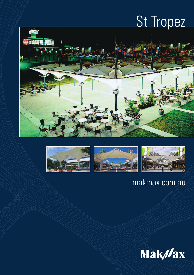# St Tropez









# makmax.com.au